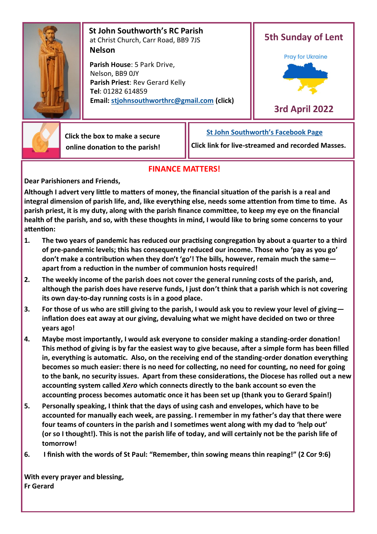

 **St John Southworth's RC Parish** at Christ Church, Carr Road, BB9 7JS **Nelson**

 **Parish House**: 5 Park Drive, Nelson, BB9 0JY **Parish Priest**: Rev Gerard Kelly **Tel**: 01282 614859 **Email: [stjohnsouthworthrc@gmail.com](mailto:stjohnsouthworth@gmail.com) (click)**





 **Click the box to make a secure online donation to the parish!** **[St John Southworth's Facebook Page](https://www.facebook.com/Parish-of-St-John-Southworth-in-Nelson-105718084323986)**

**Click link for live-streamed and recorded Masses.**

# **FINANCE MATTERS!**

**Dear Parishioners and Friends,**

**Although I advert very little to matters of money, the financial situation of the parish is a real and integral dimension of parish life, and, like everything else, needs some attention from time to time. As parish priest, it is my duty, along with the parish finance committee, to keep my eye on the financial health of the parish, and so, with these thoughts in mind, I would like to bring some concerns to your attention:** 

- **1. The two years of pandemic has reduced our practising congregation by about a quarter to a third of pre-pandemic levels; this has consequently reduced our income. Those who 'pay as you go' don't make a contribution when they don't 'go'! The bills, however, remain much the same apart from a reduction in the number of communion hosts required!**
- **2. The weekly income of the parish does not cover the general running costs of the parish, and, although the parish does have reserve funds, I just don't think that a parish which is not covering its own day-to-day running costs is in a good place.**
- **3. For those of us who are still giving to the parish, I would ask you to review your level of giving inflation does eat away at our giving, devaluing what we might have decided on two or three years ago!**
- **4. Maybe most importantly, I would ask everyone to consider making a standing-order donation! This method of giving is by far the easiest way to give because, after a simple form has been filled in, everything is automatic. Also, on the receiving end of the standing-order donation everything becomes so much easier: there is no need for collecting, no need for counting, no need for going to the bank, no security issues. Apart from these considerations, the Diocese has rolled out a new accounting system called** *Xero* **which connects directly to the bank account so even the accounting process becomes automatic once it has been set up (thank you to Gerard Spain!)**
- **5. Personally speaking, I think that the days of using cash and envelopes, which have to be accounted for manually each week, are passing. I remember in my father's day that there were four teams of counters in the parish and I sometimes went along with my dad to 'help out' (or so I thought!). This is not the parish life of today, and will certainly not be the parish life of tomorrow!**
- **6. I finish with the words of St Paul: "Remember, thin sowing means thin reaping!" (2 Cor 9:6)**

**With every prayer and blessing, Fr Gerard**